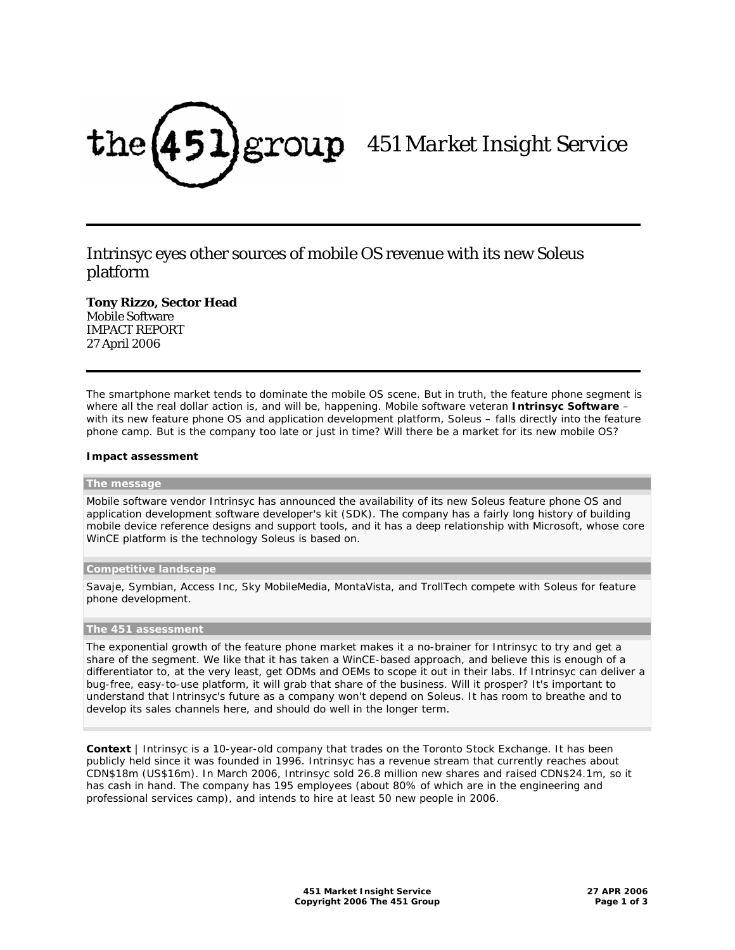

# *451 Market Insight Service*

# Intrinsyc eyes other sources of mobile OS revenue with its new Soleus platform

**Tony Rizzo, Sector Head**  Mobile Software IMPACT REPORT 27 April 2006

The smartphone market tends to dominate the mobile OS scene. But in truth, the feature phone segment is where all the real dollar action is, and will be, happening. Mobile software veteran **Intrinsyc Software** – with its new feature phone OS and application development platform, Soleus – falls directly into the feature phone camp. But is the company too late or just in time? Will there be a market for its new mobile OS?

## **Impact assessment**

#### **The message**

Mobile software vendor Intrinsyc has announced the availability of its new Soleus feature phone OS and application development software developer's kit (SDK). The company has a fairly long history of building mobile device reference designs and support tools, and it has a deep relationship with Microsoft, whose core WinCE platform is the technology Soleus is based on.

#### **Competitive landscape**

Savaje, Symbian, Access Inc, Sky MobileMedia, MontaVista, and TrollTech compete with Soleus for feature phone development.

#### **The 451 assessment**

The exponential growth of the feature phone market makes it a no-brainer for Intrinsyc to try and get a share of the segment. We like that it has taken a WinCE-based approach, and believe this is enough of a differentiator to, at the very least, get ODMs and OEMs to scope it out in their labs. If Intrinsyc can deliver a bug-free, easy-to-use platform, it will grab that share of the business. Will it prosper? It's important to understand that Intrinsyc's future as a company won't depend on Soleus. It has room to breathe and to develop its sales channels here, and should do well in the longer term.

**Context** | Intrinsyc is a 10-year-old company that trades on the Toronto Stock Exchange. It has been publicly held since it was founded in 1996. Intrinsyc has a revenue stream that currently reaches about CDN\$18m (US\$16m). In March 2006, Intrinsyc sold 26.8 million new shares and raised CDN\$24.1m, so it has cash in hand. The company has 195 employees (about 80% of which are in the engineering and professional services camp), and intends to hire at least 50 new people in 2006.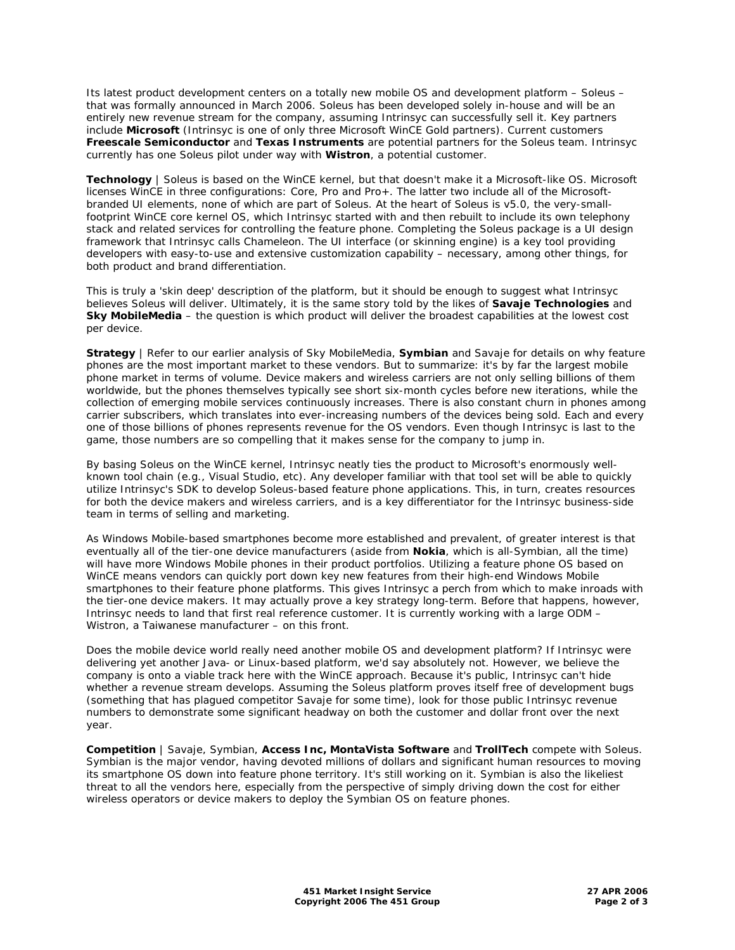Its latest product development centers on a totally new mobile OS and development platform – Soleus – that was formally announced in March 2006. Soleus has been developed solely in-house and will be an entirely new revenue stream for the company, assuming Intrinsyc can successfully sell it. Key partners include **Microsoft** (Intrinsyc is one of only three Microsoft WinCE Gold partners). Current customers **Freescale Semiconductor** and **Texas Instruments** are potential partners for the Soleus team. Intrinsyc currently has one Soleus pilot under way with **Wistron**, a potential customer.

**Technology** | Soleus is based on the WinCE kernel, but that doesn't make it a Microsoft-like OS. Microsoft licenses WinCE in three configurations: Core, Pro and Pro+. The latter two include all of the Microsoftbranded UI elements, none of which are part of Soleus. At the heart of Soleus is v5.0, the very-smallfootprint WinCE core kernel OS, which Intrinsyc started with and then rebuilt to include its own telephony stack and related services for controlling the feature phone. Completing the Soleus package is a UI design framework that Intrinsyc calls Chameleon. The UI interface (or skinning engine) is a key tool providing developers with easy-to-use and extensive customization capability – necessary, among other things, for both product and brand differentiation.

This is truly a 'skin deep' description of the platform, but it should be enough to suggest what Intrinsyc believes Soleus will deliver. Ultimately, it is the same story told by the likes of **Savaje Technologies** and **Sky MobileMedia** – the question is which product will deliver the broadest capabilities at the lowest cost per device.

**Strategy** | Refer to our earlier analysis of Sky MobileMedia, **Symbian** and Savaje for details on why feature phones are the most important market to these vendors. But to summarize: it's by far the largest mobile phone market in terms of volume. Device makers and wireless carriers are not only selling billions of them worldwide, but the phones themselves typically see short six-month cycles before new iterations, while the collection of emerging mobile services continuously increases. There is also constant churn in phones among carrier subscribers, which translates into ever-increasing numbers of the devices being sold. Each and every one of those billions of phones represents revenue for the OS vendors. Even though Intrinsyc is last to the game, those numbers are so compelling that it makes sense for the company to jump in.

By basing Soleus on the WinCE kernel, Intrinsyc neatly ties the product to Microsoft's enormously wellknown tool chain (e.g., Visual Studio, etc). Any developer familiar with that tool set will be able to quickly utilize Intrinsyc's SDK to develop Soleus-based feature phone applications. This, in turn, creates resources for both the device makers and wireless carriers, and is a key differentiator for the Intrinsyc business-side team in terms of selling and marketing.

As Windows Mobile-based smartphones become more established and prevalent, of greater interest is that eventually all of the tier-one device manufacturers (aside from **Nokia**, which is all-Symbian, all the time) will have more Windows Mobile phones in their product portfolios. Utilizing a feature phone OS based on WinCE means vendors can quickly port down key new features from their high-end Windows Mobile smartphones to their feature phone platforms. This gives Intrinsyc a perch from which to make inroads with the tier-one device makers. It may actually prove a key strategy long-term. Before that happens, however, Intrinsyc needs to land that first real reference customer. It is currently working with a large ODM – Wistron, a Taiwanese manufacturer – on this front.

Does the mobile device world really need another mobile OS and development platform? If Intrinsyc were delivering yet another Java- or Linux-based platform, we'd say absolutely not. However, we believe the company is onto a viable track here with the WinCE approach. Because it's public, Intrinsyc can't hide whether a revenue stream develops. Assuming the Soleus platform proves itself free of development bugs (something that has plagued competitor Savaje for some time), look for those public Intrinsyc revenue numbers to demonstrate some significant headway on both the customer and dollar front over the next year.

**Competition** | Savaje, Symbian, **Access Inc, MontaVista Software** and **TrollTech** compete with Soleus. Symbian is the major vendor, having devoted millions of dollars and significant human resources to moving its smartphone OS down into feature phone territory. It's still working on it. Symbian is also the likeliest threat to all the vendors here, especially from the perspective of simply driving down the cost for either wireless operators or device makers to deploy the Symbian OS on feature phones.